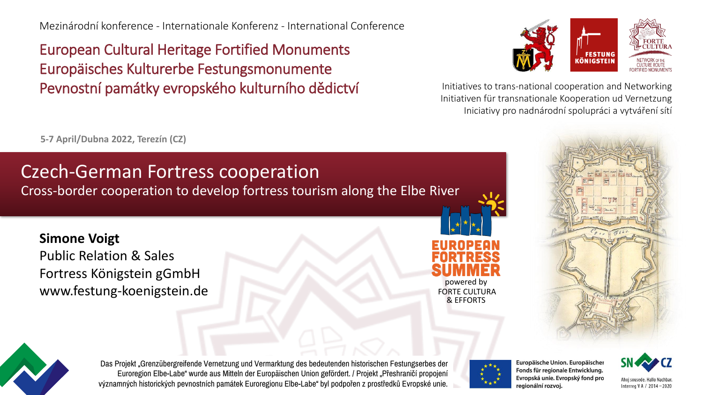Mezinárodní konference - Internationale Konferenz - International Conference

European Cultural Heritage Fortified Monuments Europäisches Kulturerbe Festungsmonumente Pevnostní památky evropského kulturního dědictví **Initiatives to trans-national cooperation** and Networking



Initiativen für transnationale Kooperation ud Vernetzung Iniciativy pro nadnárodní spolupráci a vytváření sítí

**5-7 April/Dubna 2022, Terezín (CZ)**

### Czech-German Fortress cooperation

Cross-border cooperation to develop fortress tourism along the Elbe River

#### **Simone Voigt**

Public Relation & Sales Fortress Königstein gGmbH www.festung-koenigstein.de







Das Projekt "Grenzübergreifende Vernetzung und Vermarktung des bedeutenden historischen Festungserbes der Euroregion Elbe-Labe" wurde aus Mitteln der Europäischen Union gefördert. / Projekt "Přeshraničí propojení významných historických pevnostních památek Euroregionu Elbe-Labe" byl podpořen z prostředků Evropské unie.



Europäische Union. Europäischer Fonds für regionale Entwicklung. Evropská unie. Evropský fond pro regionální rozvoj.



Ahoi sousede. Hallo Nachbai Interreg V A / 2014-2020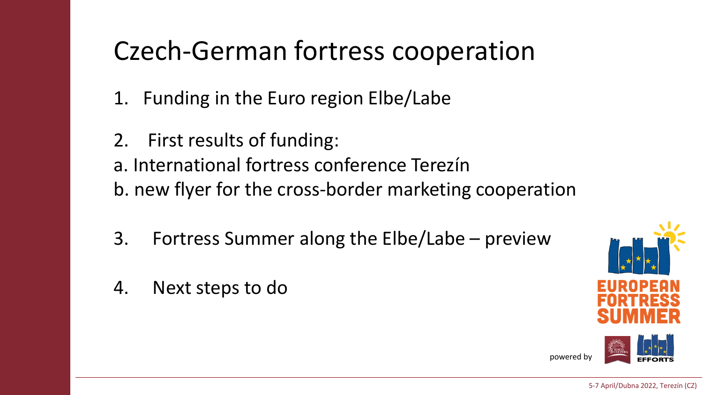### Czech-German fortress cooperation

- 1. Funding in the Euro region Elbe/Labe
- 2. First results of funding:

a. International fortress conference Terezín b. new flyer for the cross-border marketing cooperation

- 3. Fortress Summer along the Elbe/Labe preview
- 4. Next steps to do

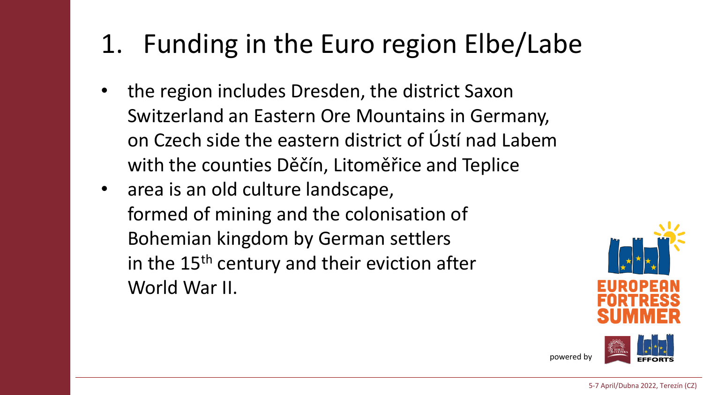### 1. Funding in the Euro region Elbe/Labe

- the region includes Dresden, the district Saxon Switzerland an Eastern Ore Mountains in Germany, on Czech side the eastern district of Ústí nad Labem with the counties Děčín, Litoměřice and Teplice
- area is an old culture landscape, formed of mining and the colonisation of Bohemian kingdom by German settlers in the 15<sup>th</sup> century and their eviction after World War II.



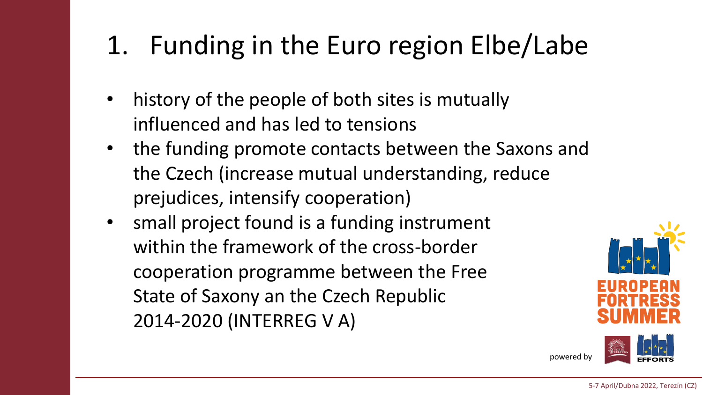# 1. Funding in the Euro region Elbe/Labe

- history of the people of both sites is mutually influenced and has led to tensions
- the funding promote contacts between the Saxons and the Czech (increase mutual understanding, reduce prejudices, intensify cooperation)
- small project found is a funding instrument within the framework of the cross-border cooperation programme between the Free State of Saxony an the Czech Republic 2014-2020 (INTERREG V A)

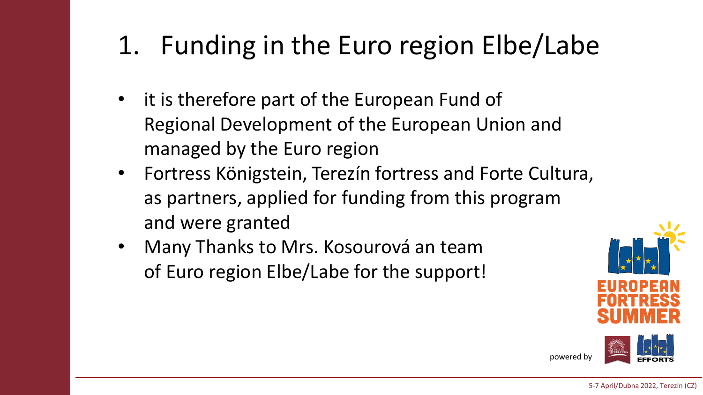# 1. Funding in the Euro region Elbe/Labe

- it is therefore part of the European Fund of Regional Development of the European Union and managed by the Euro region
- Fortress Königstein, Terezín fortress and Forte Cultura, as partners, applied for funding from this program and were granted
- Many Thanks to Mrs. Kosourová an team of Euro region Elbe/Labe for the support!



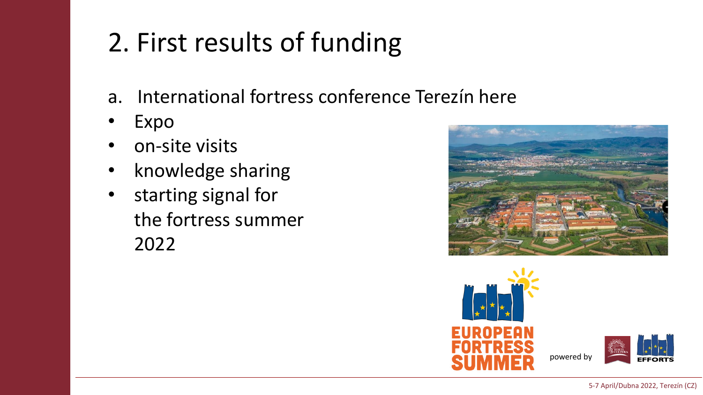# 2. First results of funding

- a. International fortress conference Terezín here
- Expo
- on-site visits
- knowledge sharing
- starting signal for the fortress summer 2022



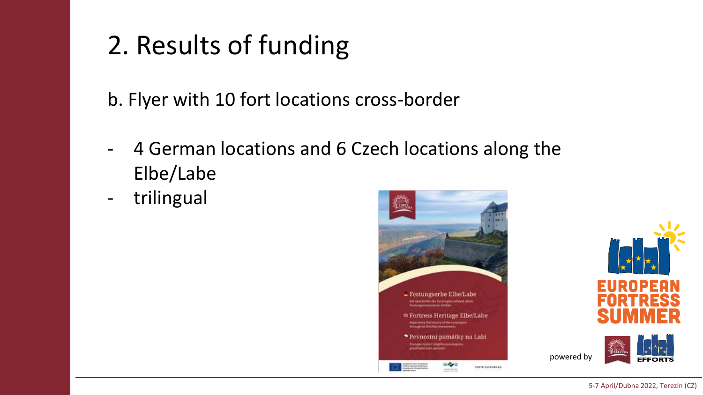# 2. Results of funding

b. Flyer with 10 fort locations cross-border

- 4 German locations and 6 Czech locations along the Elbe/Labe
- trilingual





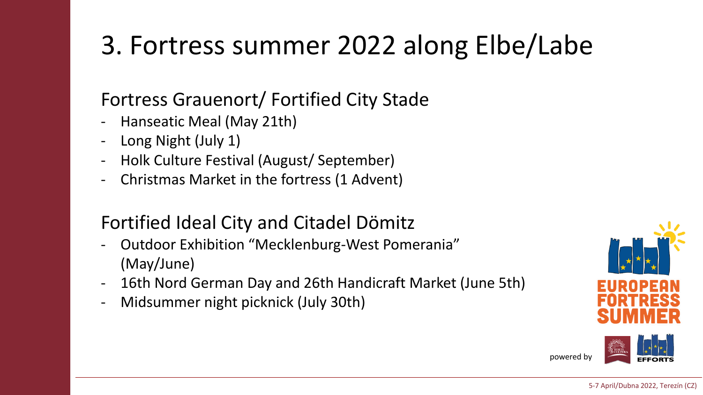### Fortress Grauenort/ Fortified City Stade

- Hanseatic Meal (May 21th)
- Long Night (July 1)
- Holk Culture Festival (August/ September)
- Christmas Market in the fortress (1 Advent)

#### Fortified Ideal City and Citadel Dömitz

- Outdoor Exhibition "Mecklenburg-West Pomerania" (May/June)
- 16th Nord German Day and 26th Handicraft Market (June 5th)
- Midsummer night picknick (July 30th)



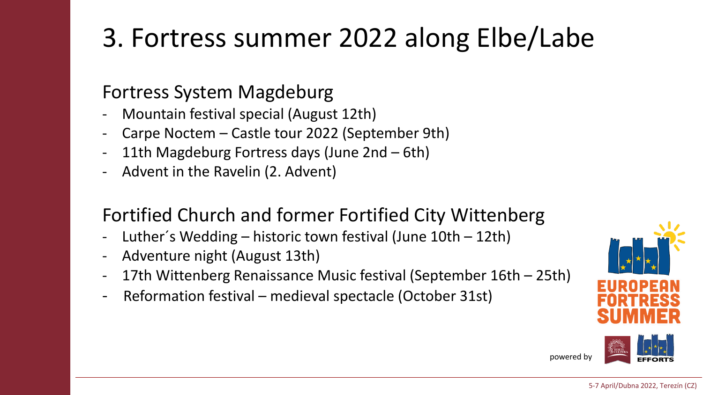#### Fortress System Magdeburg

- Mountain festival special (August 12th)
- Carpe Noctem Castle tour 2022 (September 9th)
- 11th Magdeburg Fortress days (June 2nd  $-$  6th)
- Advent in the Ravelin (2. Advent)

#### Fortified Church and former Fortified City Wittenberg

- Luther's Wedding historic town festival (June  $10th 12th$ )
- Adventure night (August 13th)
- 17th Wittenberg Renaissance Music festival (September 16th 25th)
- Reformation festival medieval spectacle (October 31st)



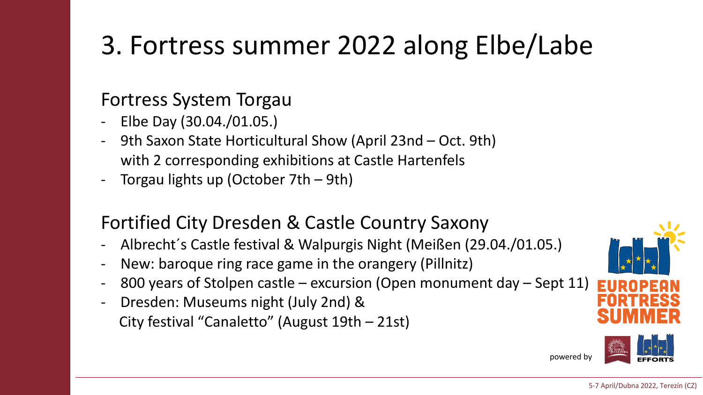#### Fortress System Torgau

- Elbe Day (30.04./01.05.)
- 9th Saxon State Horticultural Show (April 23nd Oct. 9th) with 2 corresponding exhibitions at Castle Hartenfels
- Torgau lights up (October 7th  $-$  9th)

#### Fortified City Dresden & Castle Country Saxony

- Albrecht´s Castle festival & Walpurgis Night (Meißen (29.04./01.05.)
- New: baroque ring race game in the orangery (Pillnitz)
- 800 years of Stolpen castle excursion (Open monument day Sept 11)
- Dresden: Museums night (July 2nd) & City festival "Canaletto" (August 19th – 21st)



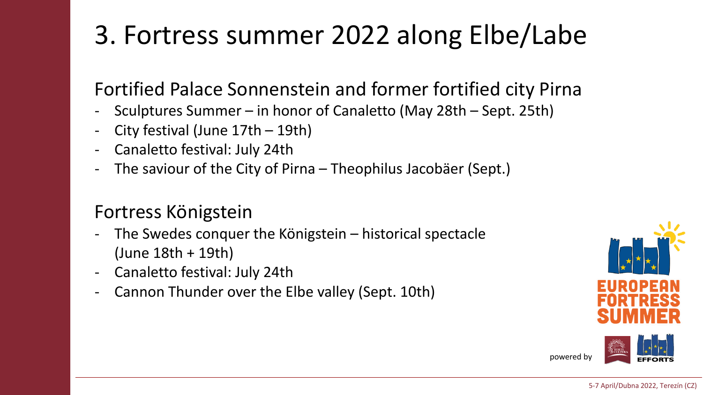### Fortified Palace Sonnenstein and former fortified city Pirna

- Sculptures Summer in honor of Canaletto (May 28th Sept. 25th)
- City festival (June  $17th 19th$ )
- Canaletto festival: July 24th
- The saviour of the City of Pirna Theophilus Jacobäer (Sept.)

#### Fortress Königstein

- The Swedes conquer the Königstein  $-$  historical spectacle (June 18th + 19th)
- Canaletto festival: July 24th
- Cannon Thunder over the Elbe valley (Sept. 10th)



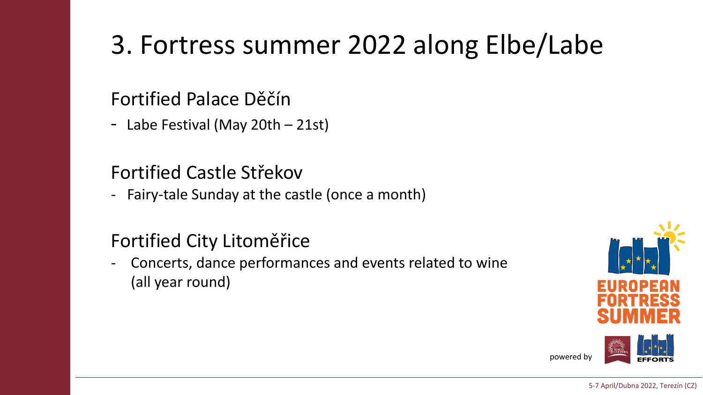#### Fortified Palace Děčín

- Labe Festival (May 20th – 21st)

### Fortified Castle Střekov

- Fairy-tale Sunday at the castle (once a month)

### Fortified City Litoměřice

Concerts, dance performances and events related to wine (all year round)



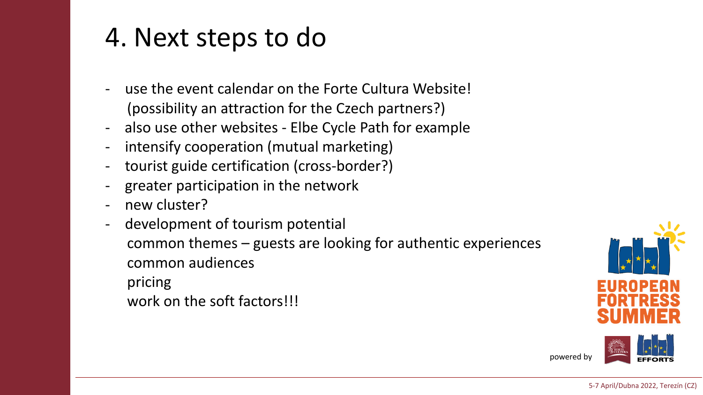### 4. Next steps to do

- use the event calendar on the Forte Cultura Website! (possibility an attraction for the Czech partners?)
- also use other websites Elbe Cycle Path for example
- intensify cooperation (mutual marketing)
- tourist guide certification (cross-border?)
- greater participation in the network
- new cluster?
- development of tourism potential common themes – guests are looking for authentic experiences common audiences pricing work on the soft factors!!!